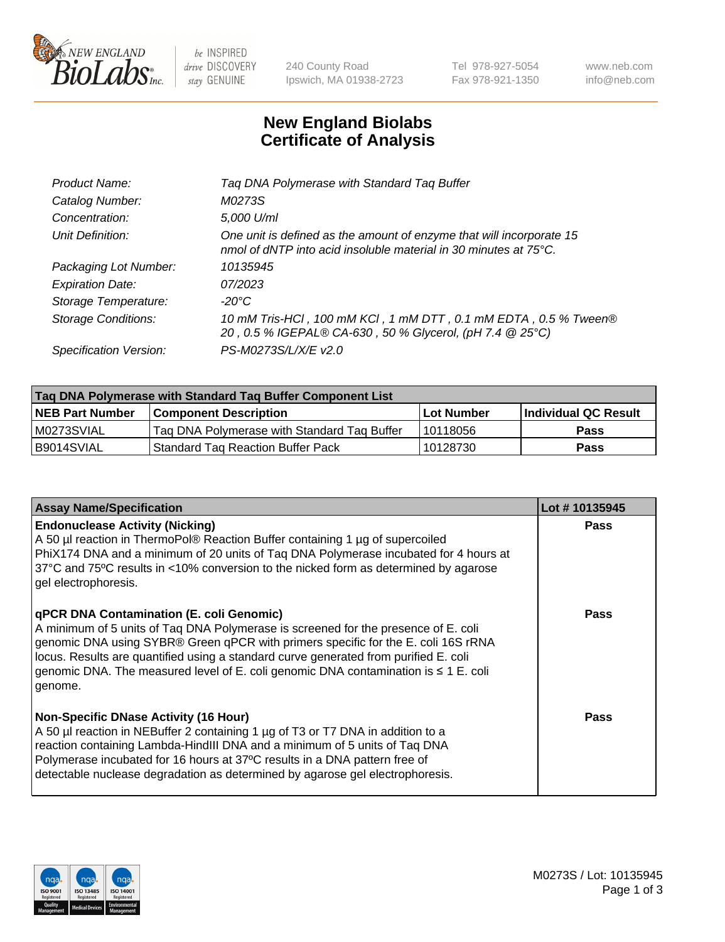

 $be$  INSPIRED drive DISCOVERY stay GENUINE

240 County Road Ipswich, MA 01938-2723 Tel 978-927-5054 Fax 978-921-1350 www.neb.com info@neb.com

## **New England Biolabs Certificate of Analysis**

| Tag DNA Polymerase with Standard Tag Buffer                                                                                              |
|------------------------------------------------------------------------------------------------------------------------------------------|
| M0273S                                                                                                                                   |
| 5,000 U/ml                                                                                                                               |
| One unit is defined as the amount of enzyme that will incorporate 15<br>nmol of dNTP into acid insoluble material in 30 minutes at 75°C. |
| 10135945                                                                                                                                 |
| 07/2023                                                                                                                                  |
| $-20^{\circ}$ C                                                                                                                          |
| 10 mM Tris-HCl, 100 mM KCl, 1 mM DTT, 0.1 mM EDTA, 0.5 % Tween®<br>20, 0.5 % IGEPAL® CA-630, 50 % Glycerol, (pH 7.4 @ 25°C)              |
| PS-M0273S/L/X/E v2.0                                                                                                                     |
|                                                                                                                                          |

| Tag DNA Polymerase with Standard Tag Buffer Component List |                                             |                   |                      |  |  |
|------------------------------------------------------------|---------------------------------------------|-------------------|----------------------|--|--|
| <b>NEB Part Number</b>                                     | <b>Component Description</b>                | <b>Lot Number</b> | Individual QC Result |  |  |
| M0273SVIAL                                                 | Tag DNA Polymerase with Standard Tag Buffer | 10118056          | <b>Pass</b>          |  |  |
| B9014SVIAL                                                 | <b>Standard Tag Reaction Buffer Pack</b>    | 10128730          | <b>Pass</b>          |  |  |

| <b>Assay Name/Specification</b>                                                                                                                                                                                                                                                                                                                                                                               | Lot #10135945 |
|---------------------------------------------------------------------------------------------------------------------------------------------------------------------------------------------------------------------------------------------------------------------------------------------------------------------------------------------------------------------------------------------------------------|---------------|
| <b>Endonuclease Activity (Nicking)</b><br>A 50 µl reaction in ThermoPol® Reaction Buffer containing 1 µg of supercoiled<br>PhiX174 DNA and a minimum of 20 units of Taq DNA Polymerase incubated for 4 hours at<br>37°C and 75°C results in <10% conversion to the nicked form as determined by agarose<br>gel electrophoresis.                                                                               | <b>Pass</b>   |
| qPCR DNA Contamination (E. coli Genomic)<br>A minimum of 5 units of Taq DNA Polymerase is screened for the presence of E. coli<br>genomic DNA using SYBR® Green qPCR with primers specific for the E. coli 16S rRNA<br>locus. Results are quantified using a standard curve generated from purified E. coli<br>genomic DNA. The measured level of E. coli genomic DNA contamination is ≤ 1 E. coli<br>genome. | <b>Pass</b>   |
| <b>Non-Specific DNase Activity (16 Hour)</b><br>A 50 µl reaction in NEBuffer 2 containing 1 µg of T3 or T7 DNA in addition to a<br>reaction containing Lambda-HindIII DNA and a minimum of 5 units of Taq DNA<br>Polymerase incubated for 16 hours at 37°C results in a DNA pattern free of<br>detectable nuclease degradation as determined by agarose gel electrophoresis.                                  | <b>Pass</b>   |

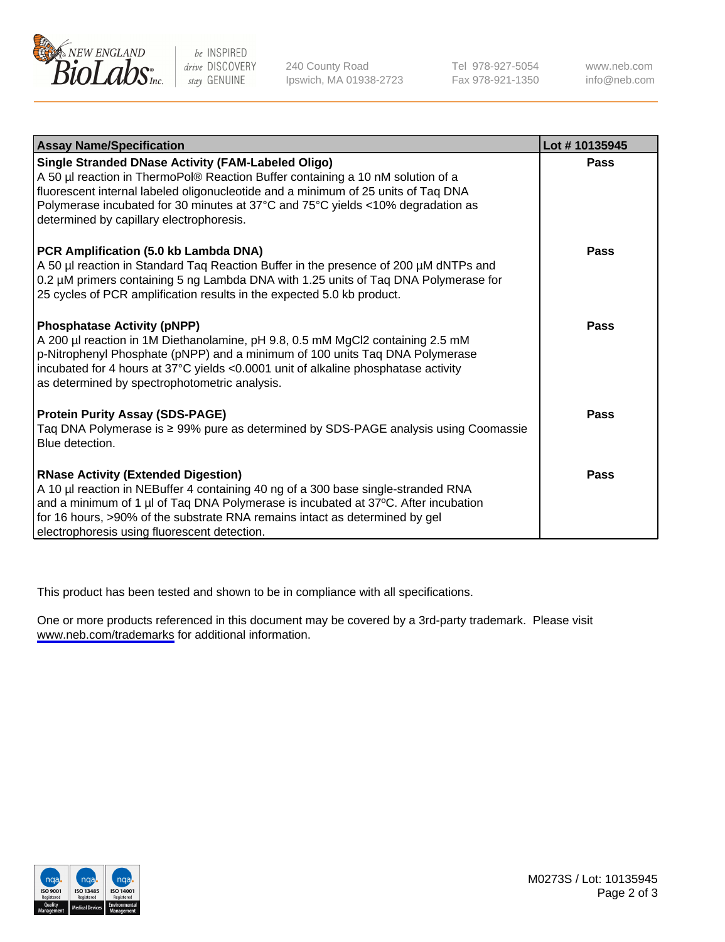

be INSPIRED drive DISCOVERY stay GENUINE

240 County Road Ipswich, MA 01938-2723 Tel 978-927-5054 Fax 978-921-1350

www.neb.com info@neb.com

| <b>Assay Name/Specification</b>                                                                                                                                                                                                                                                                                                                           | Lot #10135945 |
|-----------------------------------------------------------------------------------------------------------------------------------------------------------------------------------------------------------------------------------------------------------------------------------------------------------------------------------------------------------|---------------|
| Single Stranded DNase Activity (FAM-Labeled Oligo)<br>A 50 µl reaction in ThermoPol® Reaction Buffer containing a 10 nM solution of a<br>fluorescent internal labeled oligonucleotide and a minimum of 25 units of Taq DNA<br>Polymerase incubated for 30 minutes at 37°C and 75°C yields <10% degradation as<br>determined by capillary electrophoresis. | Pass          |
| PCR Amplification (5.0 kb Lambda DNA)<br>A 50 µl reaction in Standard Taq Reaction Buffer in the presence of 200 µM dNTPs and<br>0.2 µM primers containing 5 ng Lambda DNA with 1.25 units of Taq DNA Polymerase for<br>25 cycles of PCR amplification results in the expected 5.0 kb product.                                                            | <b>Pass</b>   |
| <b>Phosphatase Activity (pNPP)</b><br>A 200 µl reaction in 1M Diethanolamine, pH 9.8, 0.5 mM MgCl2 containing 2.5 mM<br>p-Nitrophenyl Phosphate (pNPP) and a minimum of 100 units Taq DNA Polymerase<br>incubated for 4 hours at 37°C yields <0.0001 unit of alkaline phosphatase activity<br>as determined by spectrophotometric analysis.               | Pass          |
| <b>Protein Purity Assay (SDS-PAGE)</b><br>Taq DNA Polymerase is ≥ 99% pure as determined by SDS-PAGE analysis using Coomassie<br>Blue detection.                                                                                                                                                                                                          | Pass          |
| <b>RNase Activity (Extended Digestion)</b><br>A 10 µl reaction in NEBuffer 4 containing 40 ng of a 300 base single-stranded RNA<br>and a minimum of 1 µl of Taq DNA Polymerase is incubated at 37°C. After incubation<br>for 16 hours, >90% of the substrate RNA remains intact as determined by gel<br>electrophoresis using fluorescent detection.      | Pass          |

This product has been tested and shown to be in compliance with all specifications.

One or more products referenced in this document may be covered by a 3rd-party trademark. Please visit <www.neb.com/trademarks>for additional information.